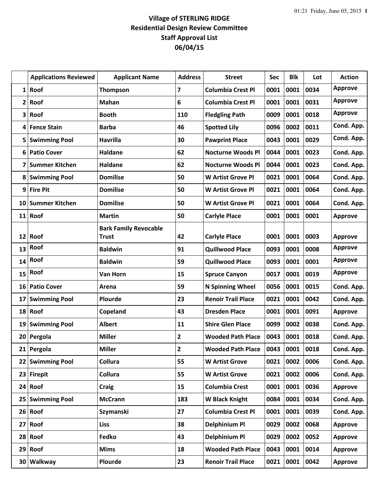## **Village of STERLING RIDGE Residential Design Review Committee Staff Approval List 06/04/15**

|              | <b>Applications Reviewed</b> | <b>Applicant Name</b>                        | <b>Address</b>          | <b>Street</b>             | <b>Sec</b> | <b>Blk</b> | Lot  | <b>Action</b>  |
|--------------|------------------------------|----------------------------------------------|-------------------------|---------------------------|------------|------------|------|----------------|
| $\mathbf{1}$ | Roof                         | <b>Thompson</b>                              | $\overline{\mathbf{z}}$ | <b>Columbia Crest Pl</b>  | 0001       | 0001       | 0034 | <b>Approve</b> |
| 2            | Roof                         | Mahan                                        | 6                       | <b>Columbia Crest Pl</b>  | 0001       | 0001       | 0031 | <b>Approve</b> |
| 3            | Roof                         | <b>Booth</b>                                 | 110                     | <b>Fledgling Path</b>     | 0009       | 0001       | 0018 | <b>Approve</b> |
| 4            | <b>Fence Stain</b>           | <b>Barba</b>                                 | 46                      | <b>Spotted Lily</b>       | 0096       | 0002       | 0011 | Cond. App.     |
| 5            | <b>Swimming Pool</b>         | <b>Havrilla</b>                              | 30                      | <b>Pawprint Place</b>     | 0043       | 0001       | 0029 | Cond. App.     |
| 6            | <b>Patio Cover</b>           | <b>Haldane</b>                               | 62                      | <b>Nocturne Woods Pl</b>  | 0044       | 0001       | 0023 | Cond. App.     |
| 7            | <b>Summer Kitchen</b>        | <b>Haldane</b>                               | 62                      | <b>Nocturne Woods Pl</b>  | 0044       | 0001       | 0023 | Cond. App.     |
| 8            | <b>Swimming Pool</b>         | <b>Domilise</b>                              | 50                      | <b>W Artist Grove Pl</b>  | 0021       | 0001       | 0064 | Cond. App.     |
| 9            | <b>Fire Pit</b>              | <b>Domilise</b>                              | 50                      | <b>W Artist Grove Pl</b>  | 0021       | 0001       | 0064 | Cond. App.     |
| 10           | <b>Summer Kitchen</b>        | <b>Domilise</b>                              | 50                      | <b>W Artist Grove Pl</b>  | 0021       | 0001       | 0064 | Cond. App.     |
| 11           | Roof                         | <b>Martin</b>                                | 50                      | <b>Carlyle Place</b>      | 0001       | 0001       | 0001 | <b>Approve</b> |
| 12           | Roof                         | <b>Bark Family Revocable</b><br><b>Trust</b> | 42                      | <b>Carlyle Place</b>      | 0001       | 0001       | 0003 | <b>Approve</b> |
| 13           | <b>Roof</b>                  | <b>Baldwin</b>                               | 91                      | <b>Quillwood Place</b>    | 0093       | 0001       | 0008 | <b>Approve</b> |
| 14           | Roof                         | <b>Baldwin</b>                               | 59                      | <b>Quillwood Place</b>    | 0093       | 0001       | 0001 | <b>Approve</b> |
| 15           | Roof                         | Van Horn                                     | 15                      | <b>Spruce Canyon</b>      | 0017       | 0001       | 0019 | <b>Approve</b> |
| 16           | <b>Patio Cover</b>           | Arena                                        | 59                      | <b>N Spinning Wheel</b>   | 0056       | 0001       | 0015 | Cond. App.     |
| 17           | <b>Swimming Pool</b>         | Plourde                                      | 23                      | <b>Renoir Trail Place</b> | 0021       | 0001       | 0042 | Cond. App.     |
| 18           | Roof                         | Copeland                                     | 43                      | <b>Dresden Place</b>      | 0001       | 0001       | 0091 | Approve        |
| 19           | <b>Swimming Pool</b>         | <b>Albert</b>                                | 11                      | <b>Shire Glen Place</b>   | 0099       | 0002       | 0038 | Cond. App.     |
| 20           | Pergola                      | <b>Miller</b>                                | 2                       | <b>Wooded Path Place</b>  | 0043       | 0001       | 0018 | Cond. App.     |
|              | 21 Pergola                   | <b>Miller</b>                                | 2                       | <b>Wooded Path Place</b>  | 0043       | 0001 0018  |      | Cond. App.     |
|              | 22 Swimming Pool             | <b>Collura</b>                               | 55                      | <b>W Artist Grove</b>     | 0021       | 0002       | 0006 | Cond. App.     |
| 23           | <b>Firepit</b>               | <b>Collura</b>                               | 55                      | <b>W Artist Grove</b>     | 0021       | 0002       | 0006 | Cond. App.     |
|              | $24$ Roof                    | <b>Craig</b>                                 | 15                      | <b>Columbia Crest</b>     | 0001       | 0001       | 0036 | Approve        |
| 25           | <b>Swimming Pool</b>         | <b>McCrann</b>                               | 183                     | <b>W Black Knight</b>     | 0084       | 0001       | 0034 | Cond. App.     |
| 26           | Roof                         | <b>Szymanski</b>                             | 27                      | <b>Columbia Crest Pl</b>  | 0001       | 0001       | 0039 | Cond. App.     |
| 27           | Roof                         | <b>Liss</b>                                  | 38                      | <b>Delphinium Pl</b>      | 0029       | 0002       | 0068 | Approve        |
| 28           | Roof                         | Fedko                                        | 43                      | <b>Delphinium Pl</b>      | 0029       | 0002       | 0052 | Approve        |
| 29           | Roof                         | <b>Mims</b>                                  | 18                      | <b>Wooded Path Place</b>  | 0043       | 0001       | 0014 | Approve        |
| 30           | Walkway                      | Plourde                                      | 23                      | <b>Renoir Trail Place</b> | 0021       | 0001       | 0042 | Approve        |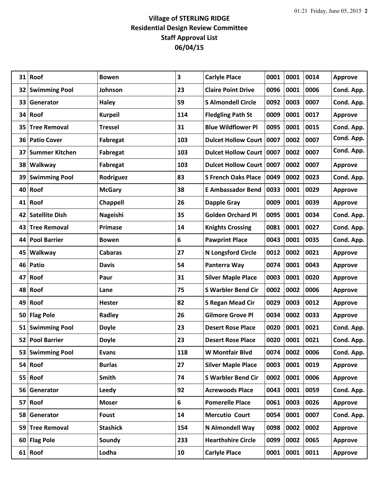## **Village of STERLING RIDGE Residential Design Review Committee Staff Approval List 06/04/15**

| 31              | Roof                  | <b>Bowen</b>    | 3   | <b>Carlyle Place</b>       | 0001 | 0001 | 0014 | <b>Approve</b> |
|-----------------|-----------------------|-----------------|-----|----------------------------|------|------|------|----------------|
|                 | 32 Swimming Pool      | Johnson         | 23  | <b>Claire Point Drive</b>  | 0096 | 0001 | 0006 | Cond. App.     |
| 33              | Generator             | <b>Haley</b>    | 59  | <b>S Almondell Circle</b>  | 0092 | 0003 | 0007 | Cond. App.     |
| 34              | Roof                  | <b>Kurpeil</b>  | 114 | <b>Fledgling Path St</b>   | 0009 | 0001 | 0017 | <b>Approve</b> |
| 35              | <b>Tree Removal</b>   | <b>Tressel</b>  | 31  | <b>Blue Wildflower Pl</b>  | 0095 | 0001 | 0015 | Cond. App.     |
| 36              | <b>Patio Cover</b>    | Fabregat        | 103 | <b>Dulcet Hollow Court</b> | 0007 | 0002 | 0007 | Cond. App.     |
| 37              | <b>Summer Kitchen</b> | Fabregat        | 103 | Dulcet Hollow Court   0007 |      | 0002 | 0007 | Cond. App.     |
| 38              | Walkway               | <b>Fabregat</b> | 103 | Dulcet Hollow Court   0007 |      | 0002 | 0007 | <b>Approve</b> |
| 39              | <b>Swimming Pool</b>  | Rodriguez       | 83  | <b>S French Oaks Place</b> | 0049 | 0002 | 0023 | Cond. App.     |
| 40              | Roof                  | <b>McGary</b>   | 38  | <b>E Ambassador Bend</b>   | 0033 | 0001 | 0029 | <b>Approve</b> |
|                 | 41 Roof               | Chappell        | 26  | <b>Dapple Gray</b>         | 0009 | 0001 | 0039 | <b>Approve</b> |
| 42              | <b>Satellite Dish</b> | Nageishi        | 35  | <b>Golden Orchard Pl</b>   | 0095 | 0001 | 0034 | Cond. App.     |
| 43              | <b>Tree Removal</b>   | Primase         | 14  | <b>Knights Crossing</b>    | 0081 | 0001 | 0027 | Cond. App.     |
| 44              | <b>Pool Barrier</b>   | <b>Bowen</b>    | 6   | <b>Pawprint Place</b>      | 0043 | 0001 | 0035 | Cond. App.     |
| 45              | Walkway               | <b>Cabaras</b>  | 27  | <b>N Longsford Circle</b>  | 0012 | 0002 | 0021 | <b>Approve</b> |
| 46              | Patio                 | <b>Davis</b>    | 54  | Panterra Way               | 0074 | 0001 | 0043 | <b>Approve</b> |
| 47              | Roof                  | Paur            | 31  | <b>Silver Maple Place</b>  | 0003 | 0001 | 0020 | <b>Approve</b> |
| 48              | Roof                  | Lane            | 75  | <b>S Warbler Bend Cir</b>  | 0002 | 0002 | 0006 | <b>Approve</b> |
| 49              | Roof                  | <b>Hester</b>   | 82  | <b>S Regan Mead Cir</b>    | 0029 | 0003 | 0012 | <b>Approve</b> |
| 50              | <b>Flag Pole</b>      | Radley          | 26  | <b>Gilmore Grove Pl</b>    | 0034 | 0002 | 0033 | <b>Approve</b> |
| 51              | <b>Swimming Pool</b>  | <b>Doyle</b>    | 23  | <b>Desert Rose Place</b>   | 0020 | 0001 | 0021 | Cond. App.     |
| 52              | <b>Pool Barrier</b>   | <b>Doyle</b>    | 23  | <b>Desert Rose Place</b>   | 0020 | 0001 | 0021 | Cond. App.     |
| 53 <sub>1</sub> | <b>Swimming Pool</b>  | <b>Evans</b>    | 118 | W Montfair Blvd            | 0074 | 0002 | 0006 | Cond. App.     |
|                 | 54 Roof               | <b>Burlas</b>   | 27  | <b>Silver Maple Place</b>  | 0003 | 0001 | 0019 | <b>Approve</b> |
| 55              | Roof                  | Smith           | 74  | <b>S Warbler Bend Cir</b>  | 0002 | 0001 | 0006 | <b>Approve</b> |
| 56              | Generator             | Leedy           | 92  | <b>Acrewoods Place</b>     | 0043 | 0001 | 0059 | Cond. App.     |
| 57              | Roof                  | <b>Moser</b>    | 6   | <b>Pomerelle Place</b>     | 0061 | 0003 | 0026 | <b>Approve</b> |
| 58              | Generator             | Foust           | 14  | <b>Mercutio Court</b>      | 0054 | 0001 | 0007 | Cond. App.     |
| 59 <sub>1</sub> | <b>Tree Removal</b>   | <b>Stashick</b> | 154 | N Almondell Way            | 0098 | 0002 | 0002 | <b>Approve</b> |
| 60              | <b>Flag Pole</b>      | Soundy          | 233 | <b>Hearthshire Circle</b>  | 0099 | 0002 | 0065 | <b>Approve</b> |
|                 | $61$ Roof             | Lodha           | 10  | <b>Carlyle Place</b>       | 0001 | 0001 | 0011 | <b>Approve</b> |